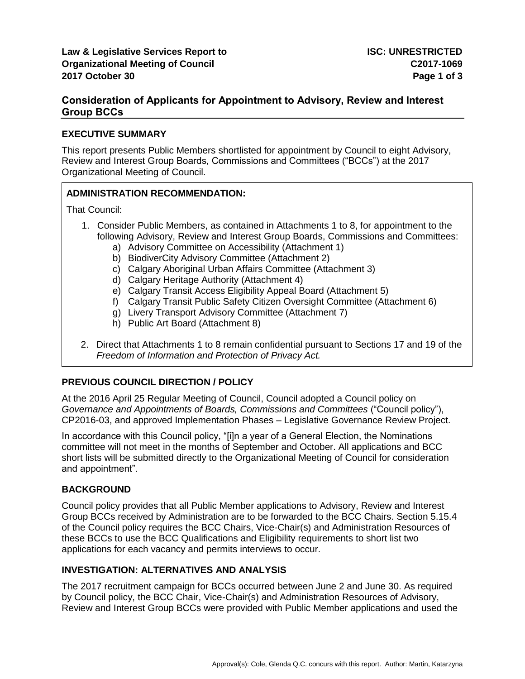# **Consideration of Applicants for Appointment to Advisory, Review and Interest Group BCCs**

# **EXECUTIVE SUMMARY**

This report presents Public Members shortlisted for appointment by Council to eight Advisory, Review and Interest Group Boards, Commissions and Committees ("BCCs") at the 2017 Organizational Meeting of Council.

# **ADMINISTRATION RECOMMENDATION:**

That Council:

- 1. Consider Public Members, as contained in Attachments 1 to 8, for appointment to the following Advisory, Review and Interest Group Boards, Commissions and Committees:
	- a) Advisory Committee on Accessibility (Attachment 1)
	- b) BiodiverCity Advisory Committee (Attachment 2)
	- c) Calgary Aboriginal Urban Affairs Committee (Attachment 3)
	- d) Calgary Heritage Authority (Attachment 4)
	- e) Calgary Transit Access Eligibility Appeal Board (Attachment 5)
	- f) Calgary Transit Public Safety Citizen Oversight Committee (Attachment 6)
	- g) Livery Transport Advisory Committee (Attachment 7)
	- h) Public Art Board (Attachment 8)
- 2. Direct that Attachments 1 to 8 remain confidential pursuant to Sections 17 and 19 of the *Freedom of Information and Protection of Privacy Act.*

# **PREVIOUS COUNCIL DIRECTION / POLICY**

At the 2016 April 25 Regular Meeting of Council, Council adopted a Council policy on *Governance and Appointments of Boards, Commissions and Committees* ("Council policy"), CP2016-03, and approved Implementation Phases – Legislative Governance Review Project.

In accordance with this Council policy, "[i]n a year of a General Election, the Nominations committee will not meet in the months of September and October. All applications and BCC short lists will be submitted directly to the Organizational Meeting of Council for consideration and appointment".

### **BACKGROUND**

Council policy provides that all Public Member applications to Advisory, Review and Interest Group BCCs received by Administration are to be forwarded to the BCC Chairs. Section 5.15.4 of the Council policy requires the BCC Chairs, Vice-Chair(s) and Administration Resources of these BCCs to use the BCC Qualifications and Eligibility requirements to short list two applications for each vacancy and permits interviews to occur.

# **INVESTIGATION: ALTERNATIVES AND ANALYSIS**

The 2017 recruitment campaign for BCCs occurred between June 2 and June 30. As required by Council policy, the BCC Chair, Vice-Chair(s) and Administration Resources of Advisory, Review and Interest Group BCCs were provided with Public Member applications and used the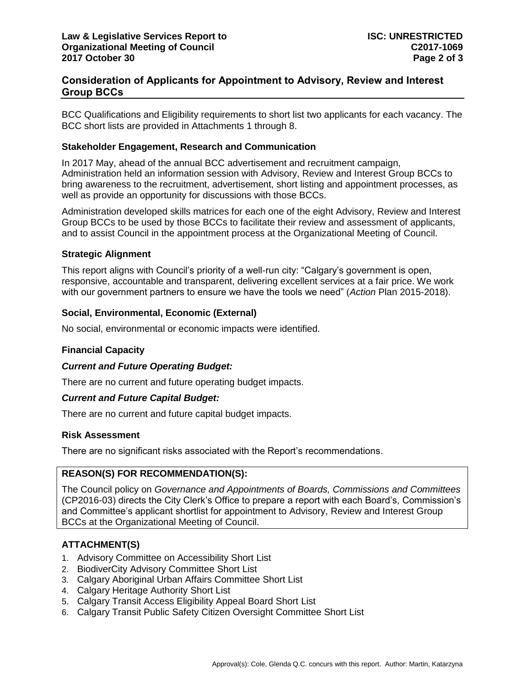# **Consideration of Applicants for Appointment to Advisory, Review and Interest Group BCCs**

BCC Qualifications and Eligibility requirements to short list two applicants for each vacancy. The BCC short lists are provided in Attachments 1 through 8.

## **Stakeholder Engagement, Research and Communication**

In 2017 May, ahead of the annual BCC advertisement and recruitment campaign, Administration held an information session with Advisory, Review and Interest Group BCCs to bring awareness to the recruitment, advertisement, short listing and appointment processes, as well as provide an opportunity for discussions with those BCCs.

Administration developed skills matrices for each one of the eight Advisory, Review and Interest Group BCCs to be used by those BCCs to facilitate their review and assessment of applicants, and to assist Council in the appointment process at the Organizational Meeting of Council.

## **Strategic Alignment**

This report aligns with Council's priority of a well-run city: "Calgary's government is open, responsive, accountable and transparent, delivering excellent services at a fair price. We work with our government partners to ensure we have the tools we need" (*Action* Plan 2015-2018).

## **Social, Environmental, Economic (External)**

No social, environmental or economic impacts were identified.

### **Financial Capacity**

### *Current and Future Operating Budget:*

There are no current and future operating budget impacts.

### *Current and Future Capital Budget:*

There are no current and future capital budget impacts.

### **Risk Assessment**

There are no significant risks associated with the Report's recommendations.

### **REASON(S) FOR RECOMMENDATION(S):**

The Council policy on *Governance and Appointments of Boards, Commissions and Committees*  (CP2016-03) directs the City Clerk's Office to prepare a report with each Board's, Commission's and Committee's applicant shortlist for appointment to Advisory, Review and Interest Group BCCs at the Organizational Meeting of Council.

# **ATTACHMENT(S)**

- 1. Advisory Committee on Accessibility Short List
- 2. BiodiverCity Advisory Committee Short List
- 3. Calgary Aboriginal Urban Affairs Committee Short List
- 4. Calgary Heritage Authority Short List
- 5. Calgary Transit Access Eligibility Appeal Board Short List
- 6. Calgary Transit Public Safety Citizen Oversight Committee Short List